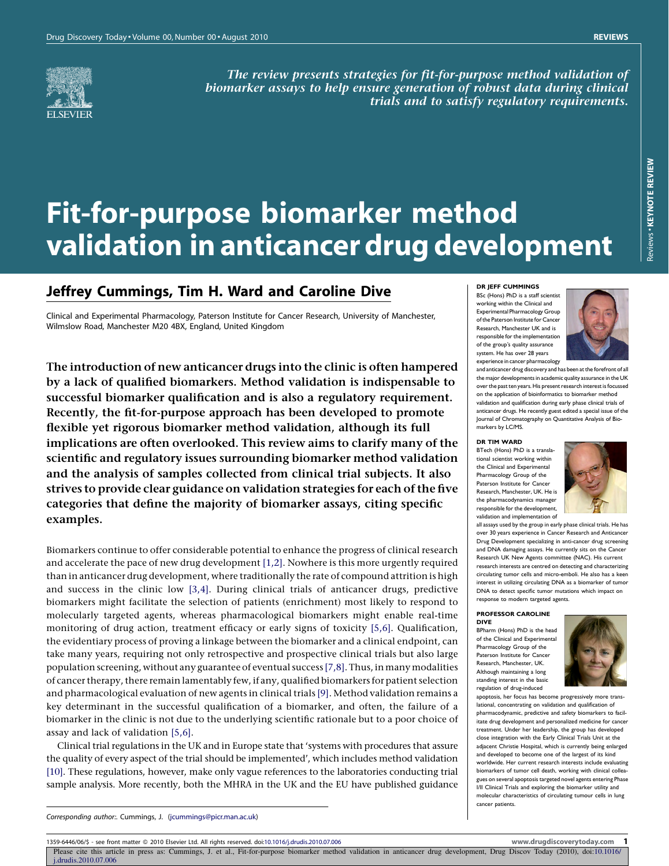

The review presents strategies for fit-for-purpose method validation of biomarker assays to help ensure generation of robust data during clinical trials and to satisfy regulatory requirements.

# Fit-for-purpose biomarker method validation in anticancer drug development

# Jeffrey Cummings, Tim H. Ward and Caroline Dive

Clinical and Experimental Pharmacology, Paterson Institute for Cancer Research, University of Manchester, Wilmslow Road, Manchester M20 4BX, England, United Kingdom

The introduction of new anticancer drugs into the clinic is often hampered by a lack of qualified biomarkers. Method validation is indispensable to successful biomarker qualification and is also a regulatory requirement. Recently, the fit-for-purpose approach has been developed to promote flexible yet rigorous biomarker method validation, although its full implications are often overlooked. This review aims to clarify many of the scientific and regulatory issues surrounding biomarker method validation and the analysis of samples collected from clinical trial subjects. It also strives to provide clear guidance on validation strategies for each of the five categories that define the majority of biomarker assays, citing specific examples.

Biomarkers continue to offer considerable potential to enhance the progress of clinical research and accelerate the pace of new drug development [\[1,2\].](#page-8-0) Nowhere is this more urgently required than in anticancer drug development, where traditionally the rate of compound attrition is high and success in the clinic low [\[3,4\]](#page-8-0). During clinical trials of anticancer drugs, predictive biomarkers might facilitate the selection of patients (enrichment) most likely to respond to molecularly targeted agents, whereas pharmacological biomarkers might enable real-time monitoring of drug action, treatment efficacy or early signs of toxicity [\[5,6\].](#page-8-0) Qualification, the evidentiary process of proving a linkage between the biomarker and a clinical endpoint, can take many years, requiring not only retrospective and prospective clinical trials but also large population screening, without any guarantee of eventual success [\[7,8\].](#page-8-0) Thus, in many modalities of cancer therapy, there remain lamentably few, if any, qualified biomarkers for patient selection and pharmacological evaluation of new agents in clinical trials [\[9\]](#page-8-0). Method validation remains a key determinant in the successful qualification of a biomarker, and often, the failure of a biomarker in the clinic is not due to the underlying scientific rationale but to a poor choice of assay and lack of validation [\[5,6\]](#page-8-0).

Clinical trial regulations in the UK and in Europe state that 'systems with procedures that assure the quality of every aspect of the trial should be implemented', which includes method validation [\[10\].](#page-8-0) These regulations, however, make only vague references to the laboratories conducting trial sample analysis. More recently, both the MHRA in the UK and the EU have published guidance

DR JEFF CUMMINGS

BSc (Hons) PhD is a staff scientist working within the Clinical and Experimental Pharmacology Group of the Paterson Institute for Cancer Research, Manchester UK and is responsible for the implementation of the group's quality assurance system. He has over 28 years experience in cancer pharmacology



and anticancer drug discovery and has been at the forefront of all the major developments in academic quality assurance in the UK over the past ten years. His present research interest is focussed on the application of bioinformatics to biomarker method validation and qualification during early phase clinical trials of anticancer drugs. He recently guest edited a special issue of the Journal of Chromatography on Quantitative Analysis of Bio-.<br>markers by LC/MS.

#### DR TIM WARD

BTech (Hons) PhD is a translational scientist working within the Clinical and Experimental Pharmacology Group of the Paterson Institute for Cancer Research, Manchester, UK. He is the pharmacodynamics manager responsible for the development, validation and implementation of



all assays used by the group in early phase clinical trials. He has over 30 years experience in Cancer Research and Anticancer Drug Development specializing in anti-cancer drug screening and DNA damaging assays. He currently sits on the Cancer Research UK New Agents committee (NAC). His current research interests are centred on detecting and characterizing circulating tumor cells and micro-emboli. He also has a keen interest in utilizing circulating DNA as a biomarker of tumor DNA to detect specific tumor mutations which impact on response to modern targeted agents.

#### PROFESSOR CAROLINE DIVE

BPharm (Hons) PhD is the head of the Clinical and Experimental Pharmacology Group of the Paterson Institute for Cancer Research, Manchester, UK. Although maintaining a long standing interest in the basic regulation of drug-induced



apoptosis, her focus has become progressively more translational, concentrating on validation and qualification of pharmacodynamic, predictive and safety biomarkers to facilitate drug development and personalized medicine for cancer treatment. Under her leadership, the group has developed close integration with the Early Clinical Trials Unit at the adjacent Christie Hospital, which is currently being enlarged and developed to become one of the largest of its kind worldwide. Her current research interests include evaluating biomarkers of tumor cell death, working with clinical colleagues on several apoptosis targeted novel agents entering Phase I/II Clinical Trials and exploring the biomarker utility and molecular characteristics of circulating tumour cells in lung cancer patients.

Corresponding author:. Cummings, J. ([jcummings@picr.man.ac.uk](mailto:jcummings@picr.man.ac.uk))

1359-6446/06/\$ - see front matter @ 2010 Elsevier Ltd. All rights reserved. doi:[10.1016/j.drudis.2010.07.006](http://dx.doi.org/10.1016/j.drudis.2010.07.006) www.drugdiscoverytoday.com 1

Please cite this article in press as: Cummings, J. et al., Fit-for-purpose biomarker method validation in anticancer drug development, Drug Discov Today (2010), doi[:10.1016/](http://dx.doi.org/10.1016/j.drudis.2010.07.006) [j.drudis.2010.07.006](http://dx.doi.org/10.1016/j.drudis.2010.07.006)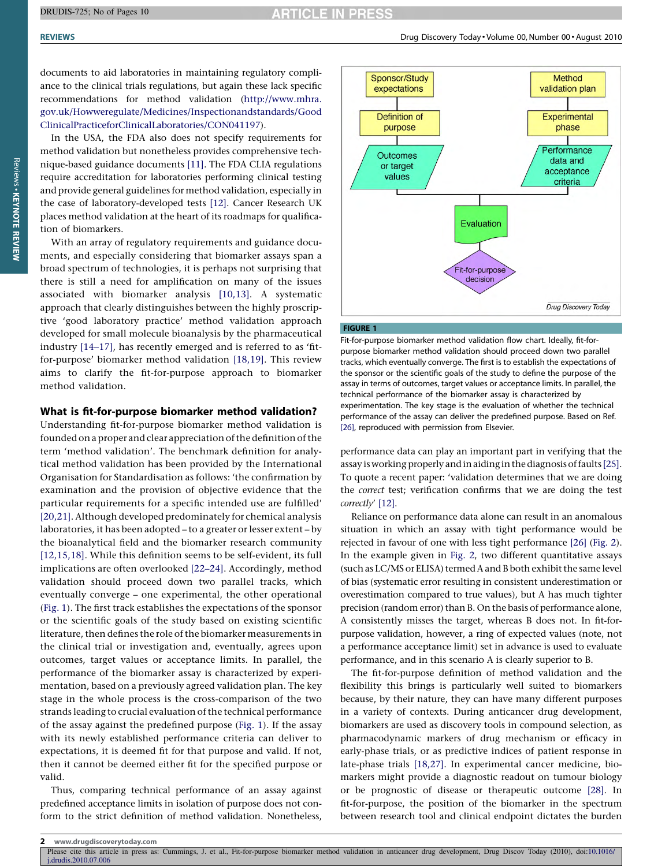documents to aid laboratories in maintaining regulatory compliance to the clinical trials regulations, but again these lack specific recommendations for method validation [\(http://www.mhra.](http://www.mhra.gov.uk/Howweregulate/Medicines/Inspectionandstandards/GoodClinicalPracticeforClinicalLaboratories/CON041197) [gov.uk/Howweregulate/Medicines/Inspectionandstandards/Good](http://www.mhra.gov.uk/Howweregulate/Medicines/Inspectionandstandards/GoodClinicalPracticeforClinicalLaboratories/CON041197) [ClinicalPracticeforClinicalLaboratories/CON041197](http://www.mhra.gov.uk/Howweregulate/Medicines/Inspectionandstandards/GoodClinicalPracticeforClinicalLaboratories/CON041197)).

In the USA, the FDA also does not specify requirements for method validation but nonetheless provides comprehensive technique-based guidance documents [\[11\].](#page-8-0) The FDA CLIA regulations require accreditation for laboratories performing clinical testing and provide general guidelines for method validation, especially in the case of laboratory-developed tests [\[12\].](#page-8-0) Cancer Research UK places method validation at the heart of its roadmaps for qualification of biomarkers.

With an array of regulatory requirements and guidance documents, and especially considering that biomarker assays span a broad spectrum of technologies, it is perhaps not surprising that there is still a need for amplification on many of the issues associated with biomarker analysis [\[10,13\].](#page-8-0) A systematic approach that clearly distinguishes between the highly proscriptive 'good laboratory practice' method validation approach developed for small molecule bioanalysis by the pharmaceutical industry [\[14–17\]](#page-8-0), has recently emerged and is referred to as 'fitfor-purpose' biomarker method validation [\[18,19\].](#page-8-0) This review aims to clarify the fit-for-purpose approach to biomarker method validation.

# What is fit-for-purpose biomarker method validation?

Understanding fit-for-purpose biomarker method validation is founded on a proper and clear appreciation of the definition of the term 'method validation'. The benchmark definition for analytical method validation has been provided by the International Organisation for Standardisation as follows: 'the confirmation by examination and the provision of objective evidence that the particular requirements for a specific intended use are fulfilled' [\[20,21\]](#page-8-0). Although developed predominately for chemical analysis laboratories, it has been adopted – to a greater or lesser extent – by the bioanalytical field and the biomarker research community [\[12,15,18\].](#page-8-0) While this definition seems to be self-evident, its full implications are often overlooked [\[22–24\].](#page-8-0) Accordingly, method validation should proceed down two parallel tracks, which eventually converge – one experimental, the other operational (Fig. 1). The first track establishes the expectations of the sponsor or the scientific goals of the study based on existing scientific literature, then defines the role of the biomarker measurements in the clinical trial or investigation and, eventually, agrees upon outcomes, target values or acceptance limits. In parallel, the performance of the biomarker assay is characterized by experimentation, based on a previously agreed validation plan. The key stage in the whole process is the cross-comparison of the two strands leading to crucial evaluation of the technical performance of the assay against the predefined purpose (Fig. 1). If the assay with its newly established performance criteria can deliver to expectations, it is deemed fit for that purpose and valid. If not, then it cannot be deemed either fit for the specified purpose or valid.

Thus, comparing technical performance of an assay against predefined acceptance limits in isolation of purpose does not conform to the strict definition of method validation. Nonetheless,



#### FIGURE 1

Fit-for-purpose biomarker method validation flow chart. Ideally, fit-forpurpose biomarker method validation should proceed down two parallel tracks, which eventually converge. The first is to establish the expectations of the sponsor or the scientific goals of the study to define the purpose of the assay in terms of outcomes, target values or acceptance limits. In parallel, the technical performance of the biomarker assay is characterized by experimentation. The key stage is the evaluation of whether the technical performance of the assay can deliver the predefined purpose. Based on Ref. [\[26\]](#page-8-0), reproduced with permission from Elsevier.

performance data can play an important part in verifying that the assay is working properly and in aiding in the diagnosis of faults [\[25\]](#page-8-0). To quote a recent paper: 'validation determines that we are doing the correct test; verification confirms that we are doing the test correctly' [\[12\].](#page-8-0)

Reliance on performance data alone can result in an anomalous situation in which an assay with tight performance would be rejected in favour of one with less tight performance [\[26\]](#page-8-0) ([Fig. 2](#page-2-0)). In the example given in [Fig. 2,](#page-2-0) two different quantitative assays (such as LC/MS or ELISA) termed A and B both exhibit the same level of bias (systematic error resulting in consistent underestimation or overestimation compared to true values), but A has much tighter precision (random error) than B. On the basis of performance alone, A consistently misses the target, whereas B does not. In fit-forpurpose validation, however, a ring of expected values (note, not a performance acceptance limit) set in advance is used to evaluate performance, and in this scenario A is clearly superior to B.

The fit-for-purpose definition of method validation and the flexibility this brings is particularly well suited to biomarkers because, by their nature, they can have many different purposes in a variety of contexts. During anticancer drug development, biomarkers are used as discovery tools in compound selection, as pharmacodynamic markers of drug mechanism or efficacy in early-phase trials, or as predictive indices of patient response in late-phase trials [\[18,27\].](#page-8-0) In experimental cancer medicine, biomarkers might provide a diagnostic readout on tumour biology or be prognostic of disease or therapeutic outcome [\[28\]](#page-8-0). In fit-for-purpose, the position of the biomarker in the spectrum between research tool and clinical endpoint dictates the burden

Please cite this article in press as: Cummings, J. et al., Fit-for-purpose biomarker method validation in anticancer drug development, Drug Discov Today (2010), doi:[10.1016/](http://dx.doi.org/10.1016/j.drudis.2010.07.006) [j.drudis.2010.07.006](http://dx.doi.org/10.1016/j.drudis.2010.07.006)

Reviews - KEYNOTEREVIEW

<sup>2</sup> www.drugdiscoverytoday.com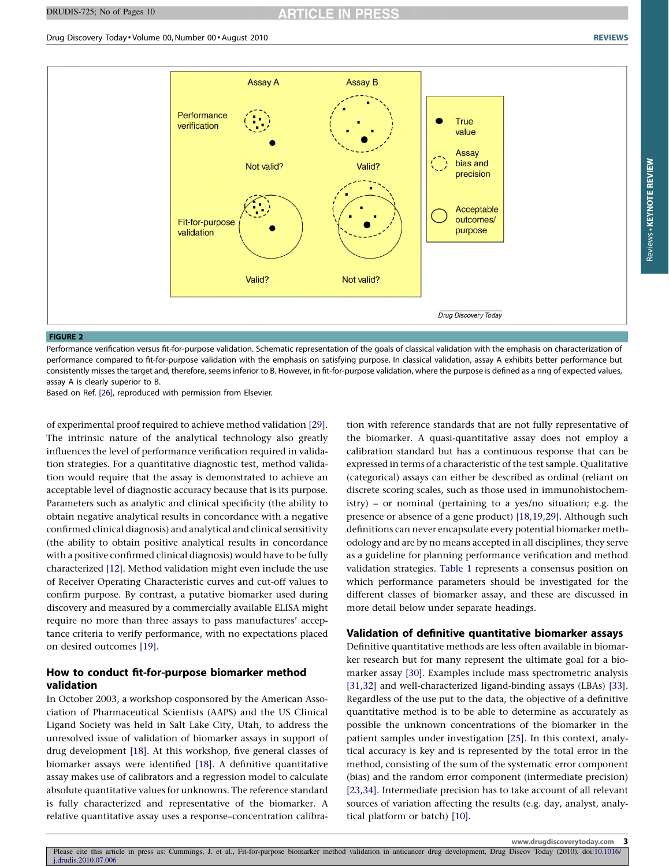**ARTICLE IN PRESS** 

<span id="page-2-0"></span>

# FIGURE 2

Performance verification versus fit-for-purpose validation. Schematic representation of the goals of classical validation with the emphasis on characterization of performance compared to fit-for-purpose validation with the emphasis on satisfying purpose. In classical validation, assay A exhibits better performance but consistently misses the target and, therefore, seems inferior to B. However, in fit-for-purpose validation, where the purpose is defined as a ring of expected values, assay A is clearly superior to B.

Based on Ref. [\[26\]](#page-8-0), reproduced with permission from Elsevier.

of experimental proof required to achieve method validation [\[29\].](#page-8-0) The intrinsic nature of the analytical technology also greatly influences the level of performance verification required in validation strategies. For a quantitative diagnostic test, method validation would require that the assay is demonstrated to achieve an acceptable level of diagnostic accuracy because that is its purpose. Parameters such as analytic and clinical specificity (the ability to obtain negative analytical results in concordance with a negative confirmed clinical diagnosis) and analytical and clinical sensitivity (the ability to obtain positive analytical results in concordance with a positive confirmed clinical diagnosis) would have to be fully characterized [\[12\].](#page-8-0) Method validation might even include the use of Receiver Operating Characteristic curves and cut-off values to confirm purpose. By contrast, a putative biomarker used during discovery and measured by a commercially available ELISA might require no more than three assays to pass manufactures' acceptance criteria to verify performance, with no expectations placed on desired outcomes [\[19\]](#page-8-0).

# How to conduct fit-for-purpose biomarker method validation

In October 2003, a workshop cosponsored by the American Association of Pharmaceutical Scientists (AAPS) and the US Clinical Ligand Society was held in Salt Lake City, Utah, to address the unresolved issue of validation of biomarker assays in support of drug development [\[18\]](#page-8-0). At this workshop, five general classes of biomarker assays were identified [\[18\]](#page-8-0). A definitive quantitative assay makes use of calibrators and a regression model to calculate absolute quantitative values for unknowns. The reference standard is fully characterized and representative of the biomarker. A relative quantitative assay uses a response–concentration calibra-

[j.drudis.2010.07.006](http://dx.doi.org/10.1016/j.drudis.2010.07.006)

tion with reference standards that are not fully representative of the biomarker. A quasi-quantitative assay does not employ a calibration standard but has a continuous response that can be expressed in terms of a characteristic of the test sample. Qualitative (categorical) assays can either be described as ordinal (reliant on discrete scoring scales, such as those used in immunohistochemistry) – or nominal (pertaining to a yes/no situation; e.g. the presence or absence of a gene product) [\[18,19,29\]](#page-8-0). Although such definitions can never encapsulate every potential biomarker methodology and are by no means accepted in all disciplines, they serve as a guideline for planning performance verification and method validation strategies. [Table 1](#page-3-0) represents a consensus position on which performance parameters should be investigated for the different classes of biomarker assay, and these are discussed in more detail below under separate headings.

# Validation of definitive quantitative biomarker assays

Definitive quantitative methods are less often available in biomarker research but for many represent the ultimate goal for a biomarker assay [\[30\].](#page-8-0) Examples include mass spectrometric analysis [\[31,32\]](#page-8-0) and well-characterized ligand-binding assays (LBAs) [\[33\].](#page-8-0) Regardless of the use put to the data, the objective of a definitive quantitative method is to be able to determine as accurately as possible the unknown concentrations of the biomarker in the patient samples under investigation [\[25\].](#page-8-0) In this context, analytical accuracy is key and is represented by the total error in the method, consisting of the sum of the systematic error component (bias) and the random error component (intermediate precision) [\[23,34\]](#page-8-0). Intermediate precision has to take account of all relevant sources of variation affecting the results (e.g. day, analyst, analytical platform or batch) [\[10\].](#page-8-0)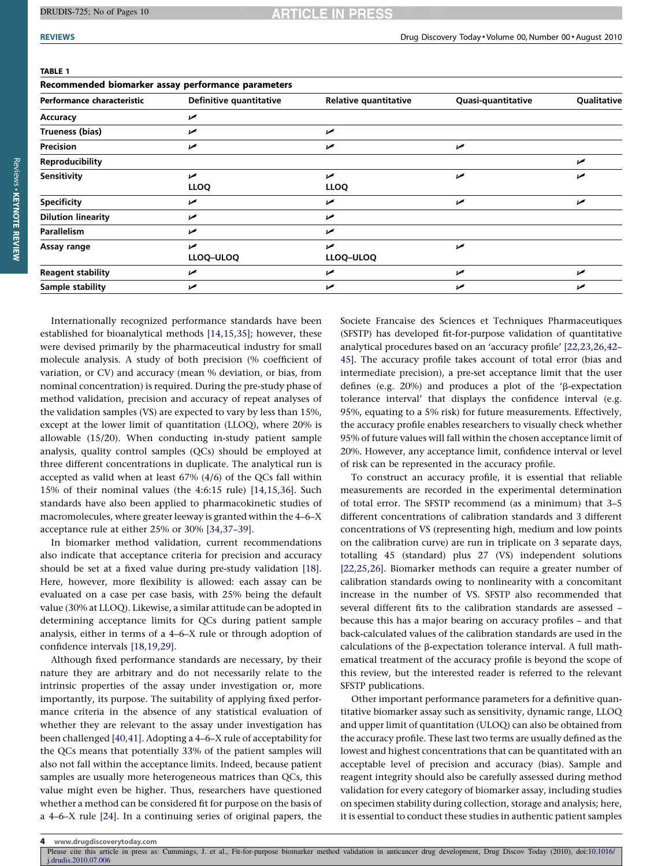<span id="page-3-0"></span>

| <b>TABLE 1</b>                                     |                         |                              |                    |             |  |  |  |
|----------------------------------------------------|-------------------------|------------------------------|--------------------|-------------|--|--|--|
| Recommended biomarker assay performance parameters |                         |                              |                    |             |  |  |  |
| Performance characteristic                         | Definitive quantitative | <b>Relative quantitative</b> | Quasi-quantitative | Qualitative |  |  |  |
| Accuracy                                           | مما                     |                              |                    |             |  |  |  |
| Trueness (bias)                                    | مما                     | مما                          |                    |             |  |  |  |
| Precision                                          | مما                     | مما                          | مما                |             |  |  |  |
| <b>Reproducibility</b>                             |                         |                              |                    | مما         |  |  |  |
| Sensitivity                                        | مما<br><b>LLOQ</b>      | مما<br><b>LLOQ</b>           | ✔                  | مما         |  |  |  |
| <b>Specificity</b>                                 | ➤                       | ✔                            | ✔                  | مما         |  |  |  |
| <b>Dilution linearity</b>                          | مما                     | ✔                            |                    |             |  |  |  |
| <b>Parallelism</b>                                 | مما                     | مما                          |                    |             |  |  |  |
| Assay range                                        | مما<br>LLOQ-ULOQ        | مما<br>LLOQ-ULOQ             | مما                |             |  |  |  |
| <b>Reagent stability</b>                           | مما                     | مما                          | مما                | مما         |  |  |  |
| Sample stability                                   | مما                     | مما                          | مما                | مما         |  |  |  |

Internationally recognized performance standards have been established for bioanalytical methods [\[14,15,35\]](#page-8-0); however, these were devised primarily by the pharmaceutical industry for small molecule analysis. A study of both precision (% coefficient of variation, or CV) and accuracy (mean % deviation, or bias, from nominal concentration) is required. During the pre-study phase of method validation, precision and accuracy of repeat analyses of the validation samples (VS) are expected to vary by less than 15%, except at the lower limit of quantitation (LLOQ), where 20% is allowable (15/20). When conducting in-study patient sample analysis, quality control samples (QCs) should be employed at three different concentrations in duplicate. The analytical run is accepted as valid when at least 67% (4/6) of the QCs fall within 15% of their nominal values (the 4:6:15 rule) [\[14,15,36\]](#page-8-0). Such standards have also been applied to pharmacokinetic studies of macromolecules, where greater leeway is granted within the 4–6–X acceptance rule at either 25% or 30% [\[34,37–39\].](#page-8-0)

In biomarker method validation, current recommendations also indicate that acceptance criteria for precision and accuracy should be set at a fixed value during pre-study validation [\[18\]](#page-8-0). Here, however, more flexibility is allowed: each assay can be evaluated on a case per case basis, with 25% being the default value (30% at LLOQ). Likewise, a similar attitude can be adopted in determining acceptance limits for QCs during patient sample analysis, either in terms of a 4–6–X rule or through adoption of confidence intervals [\[18,19,29\]](#page-8-0).

Although fixed performance standards are necessary, by their nature they are arbitrary and do not necessarily relate to the intrinsic properties of the assay under investigation or, more importantly, its purpose. The suitability of applying fixed performance criteria in the absence of any statistical evaluation of whether they are relevant to the assay under investigation has been challenged [\[40,41\].](#page-8-0) Adopting a 4–6–X rule of acceptability for the QCs means that potentially 33% of the patient samples will also not fall within the acceptance limits. Indeed, because patient samples are usually more heterogeneous matrices than QCs, this value might even be higher. Thus, researchers have questioned whether a method can be considered fit for purpose on the basis of a 4–6–X rule [\[24\].](#page-8-0) In a continuing series of original papers, the

Societe Francaise des Sciences et Techniques Pharmaceutiques (SFSTP) has developed fit-for-purpose validation of quantitative analytical procedures based on an 'accuracy profile' [\[22,23,26,42–](#page-8-0) [45\]](#page-8-0). The accuracy profile takes account of total error (bias and intermediate precision), a pre-set acceptance limit that the user defines (e.g.  $20\%$ ) and produces a plot of the ' $\beta$ -expectation tolerance interval' that displays the confidence interval (e.g. 95%, equating to a 5% risk) for future measurements. Effectively, the accuracy profile enables researchers to visually check whether 95% of future values will fall within the chosen acceptance limit of 20%. However, any acceptance limit, confidence interval or level of risk can be represented in the accuracy profile.

To construct an accuracy profile, it is essential that reliable measurements are recorded in the experimental determination of total error. The SFSTP recommend (as a minimum) that 3–5 different concentrations of calibration standards and 3 different concentrations of VS (representing high, medium and low points on the calibration curve) are run in triplicate on 3 separate days, totalling 45 (standard) plus 27 (VS) independent solutions [\[22,25,26\]](#page-8-0). Biomarker methods can require a greater number of calibration standards owing to nonlinearity with a concomitant increase in the number of VS. SFSTP also recommended that several different fits to the calibration standards are assessed – because this has a major bearing on accuracy profiles – and that back-calculated values of the calibration standards are used in the calculations of the  $\beta$ -expectation tolerance interval. A full mathematical treatment of the accuracy profile is beyond the scope of this review, but the interested reader is referred to the relevant SFSTP publications.

Other important performance parameters for a definitive quantitative biomarker assay such as sensitivity, dynamic range, LLOQ and upper limit of quantitation (ULOQ) can also be obtained from the accuracy profile. These last two terms are usually defined as the lowest and highest concentrations that can be quantitated with an acceptable level of precision and accuracy (bias). Sample and reagent integrity should also be carefully assessed during method validation for every category of biomarker assay, including studies on specimen stability during collection, storage and analysis; here, it is essential to conduct these studies in authentic patient samples

Please cite this article in press as: Cummings, J. et al., Fit-for-purpose biomarker method validation in anticancer drug development, Drug Discov Today (2010), doi:[10.1016/](http://dx.doi.org/10.1016/j.drudis.2010.07.006) [j.drudis.2010.07.006](http://dx.doi.org/10.1016/j.drudis.2010.07.006)

Reviews - KEYNOTEREVIEW

<sup>4</sup> www.drugdiscoverytoday.com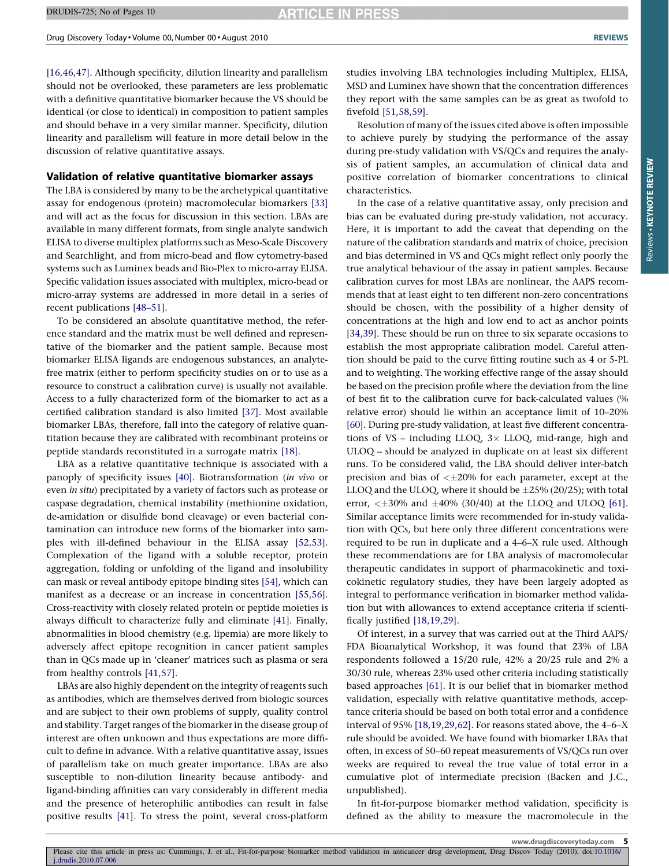[\[16,46,47\]](#page-8-0). Although specificity, dilution linearity and parallelism should not be overlooked, these parameters are less problematic with a definitive quantitative biomarker because the VS should be identical (or close to identical) in composition to patient samples and should behave in a very similar manner. Specificity, dilution linearity and parallelism will feature in more detail below in the discussion of relative quantitative assays.

# Validation of relative quantitative biomarker assays

The LBA is considered by many to be the archetypical quantitative assay for endogenous (protein) macromolecular biomarkers [\[33\]](#page-8-0) and will act as the focus for discussion in this section. LBAs are available in many different formats, from single analyte sandwich ELISA to diverse multiplex platforms such as Meso-Scale Discovery and Searchlight, and from micro-bead and flow cytometry-based systems such as Luminex beads and Bio-Plex to micro-array ELISA. Specific validation issues associated with multiplex, micro-bead or micro-array systems are addressed in more detail in a series of recent publications [\[48–51\].](#page-8-0)

To be considered an absolute quantitative method, the reference standard and the matrix must be well defined and representative of the biomarker and the patient sample. Because most biomarker ELISA ligands are endogenous substances, an analytefree matrix (either to perform specificity studies on or to use as a resource to construct a calibration curve) is usually not available. Access to a fully characterized form of the biomarker to act as a certified calibration standard is also limited [\[37\].](#page-8-0) Most available biomarker LBAs, therefore, fall into the category of relative quantitation because they are calibrated with recombinant proteins or peptide standards reconstituted in a surrogate matrix [\[18\].](#page-8-0)

LBA as a relative quantitative technique is associated with a panoply of specificity issues [\[40\]](#page-8-0). Biotransformation (in vivo or even in situ) precipitated by a variety of factors such as protease or caspase degradation, chemical instability (methionine oxidation, de-amidation or disulfide bond cleavage) or even bacterial contamination can introduce new forms of the biomarker into samples with ill-defined behaviour in the ELISA assay [\[52,53\].](#page-8-0) Complexation of the ligand with a soluble receptor, protein aggregation, folding or unfolding of the ligand and insolubility can mask or reveal antibody epitope binding sites [\[54\],](#page-9-0) which can manifest as a decrease or an increase in concentration [\[55,56\].](#page-9-0) Cross-reactivity with closely related protein or peptide moieties is always difficult to characterize fully and eliminate [\[41\]](#page-8-0). Finally, abnormalities in blood chemistry (e.g. lipemia) are more likely to adversely affect epitope recognition in cancer patient samples than in QCs made up in 'cleaner' matrices such as plasma or sera from healthy controls [\[41,57\]](#page-8-0).

LBAs are also highly dependent on the integrity of reagents such as antibodies, which are themselves derived from biologic sources and are subject to their own problems of supply, quality control and stability. Target ranges of the biomarker in the disease group of interest are often unknown and thus expectations are more difficult to define in advance. With a relative quantitative assay, issues of parallelism take on much greater importance. LBAs are also susceptible to non-dilution linearity because antibody- and ligand-binding affinities can vary considerably in different media and the presence of heterophilic antibodies can result in false positive results [\[41\]](#page-8-0). To stress the point, several cross-platform

studies involving LBA technologies including Multiplex, ELISA, MSD and Luminex have shown that the concentration differences they report with the same samples can be as great as twofold to fivefold [\[51,58,59\].](#page-8-0)

Resolution of many of the issues cited above is often impossible to achieve purely by studying the performance of the assay during pre-study validation with VS/QCs and requires the analysis of patient samples, an accumulation of clinical data and positive correlation of biomarker concentrations to clinical characteristics.

In the case of a relative quantitative assay, only precision and bias can be evaluated during pre-study validation, not accuracy. Here, it is important to add the caveat that depending on the nature of the calibration standards and matrix of choice, precision and bias determined in VS and QCs might reflect only poorly the true analytical behaviour of the assay in patient samples. Because calibration curves for most LBAs are nonlinear, the AAPS recommends that at least eight to ten different non-zero concentrations should be chosen, with the possibility of a higher density of concentrations at the high and low end to act as anchor points [\[34,39\]](#page-8-0). These should be run on three to six separate occasions to establish the most appropriate calibration model. Careful attention should be paid to the curve fitting routine such as 4 or 5-PL and to weighting. The working effective range of the assay should be based on the precision profile where the deviation from the line of best fit to the calibration curve for back-calculated values (% relative error) should lie within an acceptance limit of 10–20% [\[60\].](#page-9-0) During pre-study validation, at least five different concentrations of VS – including LLOQ,  $3 \times$  LLOQ, mid-range, high and ULOQ – should be analyzed in duplicate on at least six different runs. To be considered valid, the LBA should deliver inter-batch precision and bias of  $\langle \pm 20\%$  for each parameter, except at the LLOQ and the ULOQ, where it should be  $\pm 25\%$  (20/25); with total error,  $\langle \pm 30\%$  and  $\pm 40\%$  (30/40) at the LLOQ and ULOQ [\[61\].](#page-9-0) Similar acceptance limits were recommended for in-study validation with QCs, but here only three different concentrations were required to be run in duplicate and a 4–6–X rule used. Although these recommendations are for LBA analysis of macromolecular therapeutic candidates in support of pharmacokinetic and toxicokinetic regulatory studies, they have been largely adopted as integral to performance verification in biomarker method validation but with allowances to extend acceptance criteria if scientifically justified [\[18,19,29\]](#page-8-0).

Of interest, in a survey that was carried out at the Third AAPS/ FDA Bioanalytical Workshop, it was found that 23% of LBA respondents followed a 15/20 rule, 42% a 20/25 rule and 2% a 30/30 rule, whereas 23% used other criteria including statistically based approaches [\[61\]](#page-9-0). It is our belief that in biomarker method validation, especially with relative quantitative methods, acceptance criteria should be based on both total error and a confidence interval of 95% [\[18,19,29,62\].](#page-8-0) For reasons stated above, the 4–6–X rule should be avoided. We have found with biomarker LBAs that often, in excess of 50–60 repeat measurements of VS/QCs run over weeks are required to reveal the true value of total error in a cumulative plot of intermediate precision (Backen and J.C., unpublished).

In fit-for-purpose biomarker method validation, specificity is defined as the ability to measure the macromolecule in the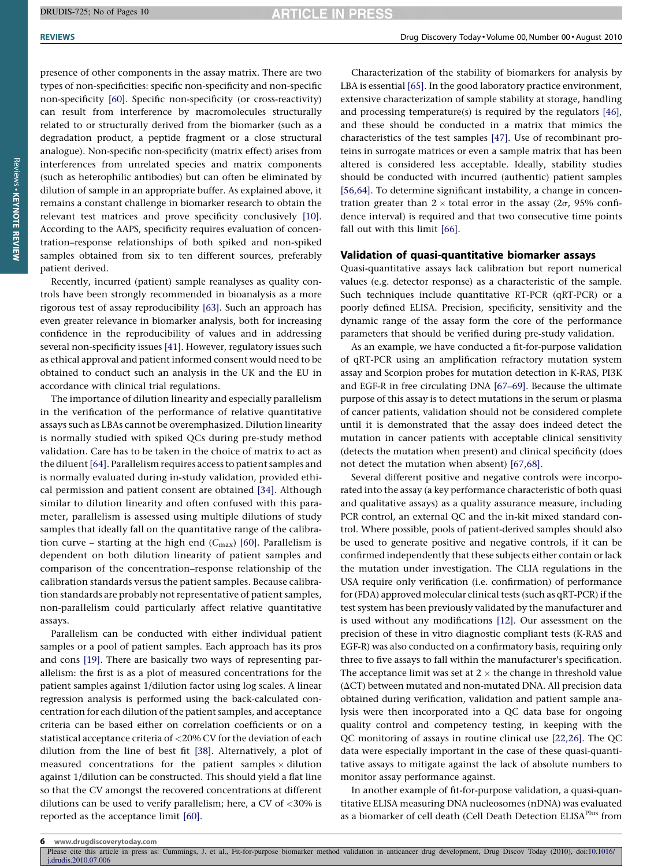**ARTICLE IN PRESS** 

presence of other components in the assay matrix. There are two types of non-specificities: specific non-specificity and non-specific non-specificity [\[60\].](#page-9-0) Specific non-specificity (or cross-reactivity) can result from interference by macromolecules structurally related to or structurally derived from the biomarker (such as a degradation product, a peptide fragment or a close structural analogue). Non-specific non-specificity (matrix effect) arises from interferences from unrelated species and matrix components (such as heterophilic antibodies) but can often be eliminated by dilution of sample in an appropriate buffer. As explained above, it remains a constant challenge in biomarker research to obtain the relevant test matrices and prove specificity conclusively [\[10\]](#page-8-0). According to the AAPS, specificity requires evaluation of concentration–response relationships of both spiked and non-spiked samples obtained from six to ten different sources, preferably patient derived.

Recently, incurred (patient) sample reanalyses as quality controls have been strongly recommended in bioanalysis as a more rigorous test of assay reproducibility [\[63\].](#page-9-0) Such an approach has even greater relevance in biomarker analysis, both for increasing confidence in the reproducibility of values and in addressing several non-specificity issues [\[41\].](#page-8-0) However, regulatory issues such as ethical approval and patient informed consent would need to be obtained to conduct such an analysis in the UK and the EU in accordance with clinical trial regulations.

The importance of dilution linearity and especially parallelism in the verification of the performance of relative quantitative assays such as LBAs cannot be overemphasized. Dilution linearity is normally studied with spiked QCs during pre-study method validation. Care has to be taken in the choice of matrix to act as the diluent [\[64\].](#page-9-0) Parallelism requires access to patient samples and is normally evaluated during in-study validation, provided ethical permission and patient consent are obtained [\[34\]](#page-8-0). Although similar to dilution linearity and often confused with this parameter, parallelism is assessed using multiple dilutions of study samples that ideally fall on the quantitative range of the calibration curve – starting at the high end  $(C_{\text{max}})$  [\[60\].](#page-9-0) Parallelism is dependent on both dilution linearity of patient samples and comparison of the concentration–response relationship of the calibration standards versus the patient samples. Because calibration standards are probably not representative of patient samples, non-parallelism could particularly affect relative quantitative assays.

Parallelism can be conducted with either individual patient samples or a pool of patient samples. Each approach has its pros and cons [\[19\].](#page-8-0) There are basically two ways of representing parallelism: the first is as a plot of measured concentrations for the patient samples against 1/dilution factor using log scales. A linear regression analysis is performed using the back-calculated concentration for each dilution of the patient samples, and acceptance criteria can be based either on correlation coefficients or on a statistical acceptance criteria of <20% CV for the deviation of each dilution from the line of best fit [\[38\]](#page-8-0). Alternatively, a plot of measured concentrations for the patient samples  $\times$  dilution against 1/dilution can be constructed. This should yield a flat line so that the CV amongst the recovered concentrations at different dilutions can be used to verify parallelism; here, a CV of  $<$ 30% is reported as the acceptance limit [\[60\]](#page-9-0).

Characterization of the stability of biomarkers for analysis by LBA is essential [\[65\].](#page-9-0) In the good laboratory practice environment, extensive characterization of sample stability at storage, handling and processing temperature(s) is required by the regulators [\[46\]](#page-8-0), and these should be conducted in a matrix that mimics the characteristics of the test samples [\[47\]](#page-8-0). Use of recombinant proteins in surrogate matrices or even a sample matrix that has been altered is considered less acceptable. Ideally, stability studies should be conducted with incurred (authentic) patient samples [\[56,64\]](#page-9-0). To determine significant instability, a change in concentration greater than  $2 \times$  total error in the assay ( $2\sigma$ ,  $95\%$  confidence interval) is required and that two consecutive time points fall out with this limit [\[66\]](#page-9-0).

# Validation of quasi-quantitative biomarker assays

Quasi-quantitative assays lack calibration but report numerical values (e.g. detector response) as a characteristic of the sample. Such techniques include quantitative RT-PCR (qRT-PCR) or a poorly defined ELISA. Precision, specificity, sensitivity and the dynamic range of the assay form the core of the performance parameters that should be verified during pre-study validation.

As an example, we have conducted a fit-for-purpose validation of qRT-PCR using an amplification refractory mutation system assay and Scorpion probes for mutation detection in K-RAS, PI3K and EGF-R in free circulating DNA [\[67–69\].](#page-9-0) Because the ultimate purpose of this assay is to detect mutations in the serum or plasma of cancer patients, validation should not be considered complete until it is demonstrated that the assay does indeed detect the mutation in cancer patients with acceptable clinical sensitivity (detects the mutation when present) and clinical specificity (does not detect the mutation when absent) [\[67,68\].](#page-9-0)

Several different positive and negative controls were incorporated into the assay (a key performance characteristic of both quasi and qualitative assays) as a quality assurance measure, including PCR control, an external QC and the in-kit mixed standard control. Where possible, pools of patient-derived samples should also be used to generate positive and negative controls, if it can be confirmed independently that these subjects either contain or lack the mutation under investigation. The CLIA regulations in the USA require only verification (i.e. confirmation) of performance for (FDA) approved molecular clinical tests (such as qRT-PCR) if the test system has been previously validated by the manufacturer and is used without any modifications [\[12\]](#page-8-0). Our assessment on the precision of these in vitro diagnostic compliant tests (K-RAS and EGF-R) was also conducted on a confirmatory basis, requiring only three to five assays to fall within the manufacturer's specification. The acceptance limit was set at  $2 \times$  the change in threshold value  $(\Delta CT)$  between mutated and non-mutated DNA. All precision data obtained during verification, validation and patient sample analysis were then incorporated into a QC data base for ongoing quality control and competency testing, in keeping with the QC monitoring of assays in routine clinical use [\[22,26\]](#page-8-0). The QC data were especially important in the case of these quasi-quantitative assays to mitigate against the lack of absolute numbers to monitor assay performance against.

In another example of fit-for-purpose validation, a quasi-quantitative ELISA measuring DNA nucleosomes (nDNA) was evaluated as a biomarker of cell death (Cell Death Detection ELISA<sup>Plus</sup> from

Please cite this article in press as: Cummings, J. et al., Fit-for-purpose biomarker method validation in anticancer drug development, Drug Discov Today (2010), doi:[10.1016/](http://dx.doi.org/10.1016/j.drudis.2010.07.006) [j.drudis.2010.07.006](http://dx.doi.org/10.1016/j.drudis.2010.07.006)

<sup>6</sup> www.drugdiscoverytoday.com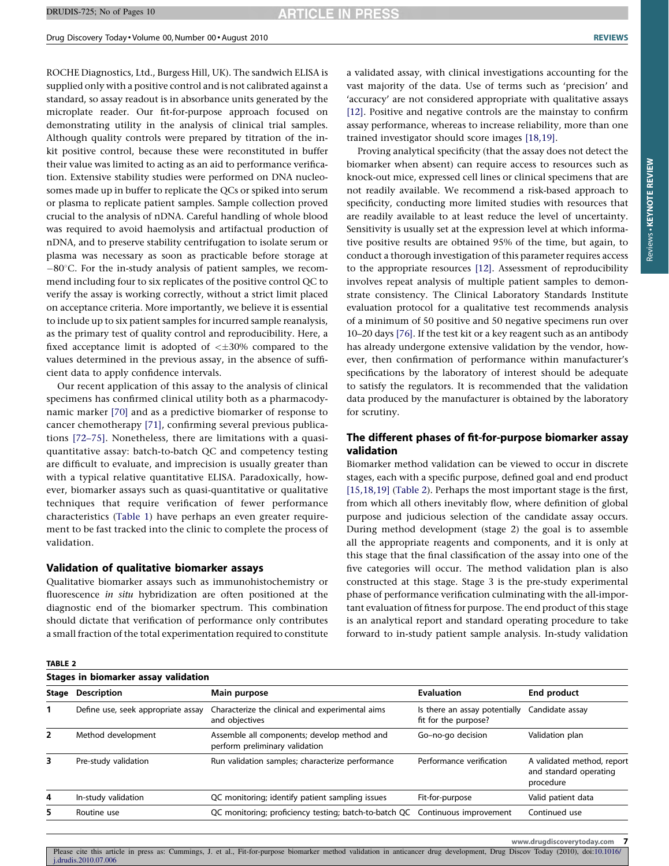## Drug Discovery Today - Volume 00, Number 00 - August 2010 REVIEWS

ROCHE Diagnostics, Ltd., Burgess Hill, UK). The sandwich ELISA is supplied only with a positive control and is not calibrated against a standard, so assay readout is in absorbance units generated by the microplate reader. Our fit-for-purpose approach focused on demonstrating utility in the analysis of clinical trial samples. Although quality controls were prepared by titration of the inkit positive control, because these were reconstituted in buffer their value was limited to acting as an aid to performance verification. Extensive stability studies were performed on DNA nucleosomes made up in buffer to replicate the QCs or spiked into serum or plasma to replicate patient samples. Sample collection proved crucial to the analysis of nDNA. Careful handling of whole blood was required to avoid haemolysis and artifactual production of nDNA, and to preserve stability centrifugation to isolate serum or plasma was necessary as soon as practicable before storage at  $-80^{\circ}$ C. For the in-study analysis of patient samples, we recommend including four to six replicates of the positive control QC to verify the assay is working correctly, without a strict limit placed on acceptance criteria. More importantly, we believe it is essential to include up to six patient samples for incurred sample reanalysis, as the primary test of quality control and reproducibility. Here, a fixed acceptance limit is adopted of  $\lt\pm 30\%$  compared to the values determined in the previous assay, in the absence of sufficient data to apply confidence intervals.

Our recent application of this assay to the analysis of clinical specimens has confirmed clinical utility both as a pharmacodynamic marker [\[70\]](#page-9-0) and as a predictive biomarker of response to cancer chemotherapy [\[71\]](#page-9-0), confirming several previous publications [\[72–75\]](#page-9-0). Nonetheless, there are limitations with a quasiquantitative assay: batch-to-batch QC and competency testing are difficult to evaluate, and imprecision is usually greater than with a typical relative quantitative ELISA. Paradoxically, however, biomarker assays such as quasi-quantitative or qualitative techniques that require verification of fewer performance characteristics ([Table 1\)](#page-3-0) have perhaps an even greater requirement to be fast tracked into the clinic to complete the process of validation.

# Validation of qualitative biomarker assays

Qualitative biomarker assays such as immunohistochemistry or fluorescence in situ hybridization are often positioned at the diagnostic end of the biomarker spectrum. This combination should dictate that verification of performance only contributes a small fraction of the total experimentation required to constitute a validated assay, with clinical investigations accounting for the vast majority of the data. Use of terms such as 'precision' and 'accuracy' are not considered appropriate with qualitative assays [\[12\].](#page-8-0) Positive and negative controls are the mainstay to confirm assay performance, whereas to increase reliability, more than one trained investigator should score images [\[18,19\].](#page-8-0)

Proving analytical specificity (that the assay does not detect the biomarker when absent) can require access to resources such as knock-out mice, expressed cell lines or clinical specimens that are not readily available. We recommend a risk-based approach to specificity, conducting more limited studies with resources that are readily available to at least reduce the level of uncertainty. Sensitivity is usually set at the expression level at which informative positive results are obtained 95% of the time, but again, to conduct a thorough investigation of this parameter requires access to the appropriate resources [\[12\]](#page-8-0). Assessment of reproducibility involves repeat analysis of multiple patient samples to demonstrate consistency. The Clinical Laboratory Standards Institute evaluation protocol for a qualitative test recommends analysis of a minimum of 50 positive and 50 negative specimens run over 10–20 days [\[76\]](#page-9-0). If the test kit or a key reagent such as an antibody has already undergone extensive validation by the vendor, however, then confirmation of performance within manufacturer's specifications by the laboratory of interest should be adequate to satisfy the regulators. It is recommended that the validation data produced by the manufacturer is obtained by the laboratory for scrutiny.

# The different phases of fit-for-purpose biomarker assay validation

Biomarker method validation can be viewed to occur in discrete stages, each with a specific purpose, defined goal and end product [\[15,18,19\]](#page-8-0) (Table 2). Perhaps the most important stage is the first, from which all others inevitably flow, where definition of global purpose and judicious selection of the candidate assay occurs. During method development (stage 2) the goal is to assemble all the appropriate reagents and components, and it is only at this stage that the final classification of the assay into one of the five categories will occur. The method validation plan is also constructed at this stage. Stage 3 is the pre-study experimental phase of performance verification culminating with the all-important evaluation of fitness for purpose. The end product of this stage is an analytical report and standard operating procedure to take forward to in-study patient sample analysis. In-study validation

#### TABLE 2

| Stages in biomarker assay validation |                                    |                                                                               |                                                       |                                                                   |  |
|--------------------------------------|------------------------------------|-------------------------------------------------------------------------------|-------------------------------------------------------|-------------------------------------------------------------------|--|
|                                      | <b>Stage Description</b>           | <b>Main purpose</b>                                                           | <b>Evaluation</b>                                     | End product                                                       |  |
|                                      | Define use, seek appropriate assay | Characterize the clinical and experimental aims<br>and objectives             | Is there an assay potentially<br>fit for the purpose? | Candidate assay                                                   |  |
| 2                                    | Method development                 | Assemble all components; develop method and<br>perform preliminary validation | Go-no-go decision                                     | Validation plan                                                   |  |
| 3.                                   | Pre-study validation               | Run validation samples; characterize performance                              | Performance verification                              | A validated method, report<br>and standard operating<br>procedure |  |
| 4                                    | In-study validation                | QC monitoring; identify patient sampling issues                               | Fit-for-purpose                                       | Valid patient data                                                |  |
| 5.                                   | Routine use                        | QC monitoring; proficiency testing; batch-to-batch QC  Continuous improvement |                                                       | Continued use                                                     |  |

Please cite this article in press as: Cummings, J. et al., Fit-for-purpose biomarker method validation in anticancer drug development, Drug Discov Today (2010), doi[:10.1016/](http://dx.doi.org/10.1016/j.drudis.2010.07.006) [j.drudis.2010.07.006](http://dx.doi.org/10.1016/j.drudis.2010.07.006)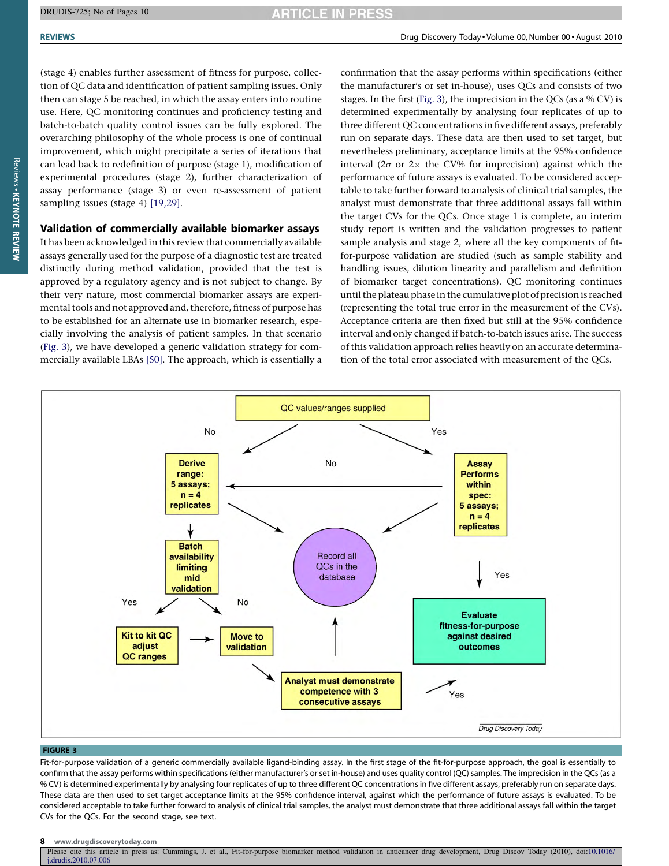(stage 4) enables further assessment of fitness for purpose, collection of QC data and identification of patient sampling issues. Only then can stage 5 be reached, in which the assay enters into routine use. Here, QC monitoring continues and proficiency testing and batch-to-batch quality control issues can be fully explored. The overarching philosophy of the whole process is one of continual improvement, which might precipitate a series of iterations that can lead back to redefinition of purpose (stage 1), modification of experimental procedures (stage 2), further characterization of assay performance (stage 3) or even re-assessment of patient sampling issues (stage 4) [\[19,29\]](#page-8-0).

# Validation of commercially available biomarker assays

It has been acknowledged in this review that commercially available assays generally used for the purpose of a diagnostic test are treated distinctly during method validation, provided that the test is approved by a regulatory agency and is not subject to change. By their very nature, most commercial biomarker assays are experimental tools and not approved and, therefore, fitness of purpose has to be established for an alternate use in biomarker research, especially involving the analysis of patient samples. In that scenario (Fig. 3), we have developed a generic validation strategy for commercially available LBAs [\[50\].](#page-8-0) The approach, which is essentially a

confirmation that the assay performs within specifications (either the manufacturer's or set in-house), uses QCs and consists of two stages. In the first (Fig. 3), the imprecision in the QCs (as a % CV) is determined experimentally by analysing four replicates of up to three different QC concentrations in five different assays, preferably run on separate days. These data are then used to set target, but nevertheless preliminary, acceptance limits at the 95% confidence interval ( $2\sigma$  or  $2\times$  the CV% for imprecision) against which the performance of future assays is evaluated. To be considered acceptable to take further forward to analysis of clinical trial samples, the analyst must demonstrate that three additional assays fall within the target CVs for the QCs. Once stage 1 is complete, an interim study report is written and the validation progresses to patient sample analysis and stage 2, where all the key components of fitfor-purpose validation are studied (such as sample stability and handling issues, dilution linearity and parallelism and definition of biomarker target concentrations). QC monitoring continues until the plateau phase in the cumulative plot of precision is reached (representing the total true error in the measurement of the CVs). Acceptance criteria are then fixed but still at the 95% confidence interval and only changed if batch-to-batch issues arise. The success of this validation approach relies heavily on an accurate determination of the total error associated with measurement of the QCs.



## Fit-for-purpose validation of a generic commercially available ligand-binding assay. In the first stage of the fit-for-purpose approach, the goal is essentially to confirm that the assay performs within specifications (either manufacturer's or set in-house) and uses quality control (QC) samples. The imprecision in the QCs (as a % CV) is determined experimentally by analysing four replicates of up to three different QC concentrations in five different assays, preferably run on separate days. These data are then used to set target acceptance limits at the 95% confidence interval, against which the performance of future assays is evaluated. To be considered acceptable to take further forward to analysis of clinical trial samples, the analyst must demonstrate that three additional assays fall within the target CVs for the QCs. For the second stage, see text.

<sup>8</sup> www.drugdiscoverytoday.com

Please cite this article in press as: Cummings, J. et al., Fit-for-purpose biomarker method validation in anticancer drug development, Drug Discov Today (2010), doi:[10.1016/](http://dx.doi.org/10.1016/j.drudis.2010.07.006) [j.drudis.2010.07.006](http://dx.doi.org/10.1016/j.drudis.2010.07.006)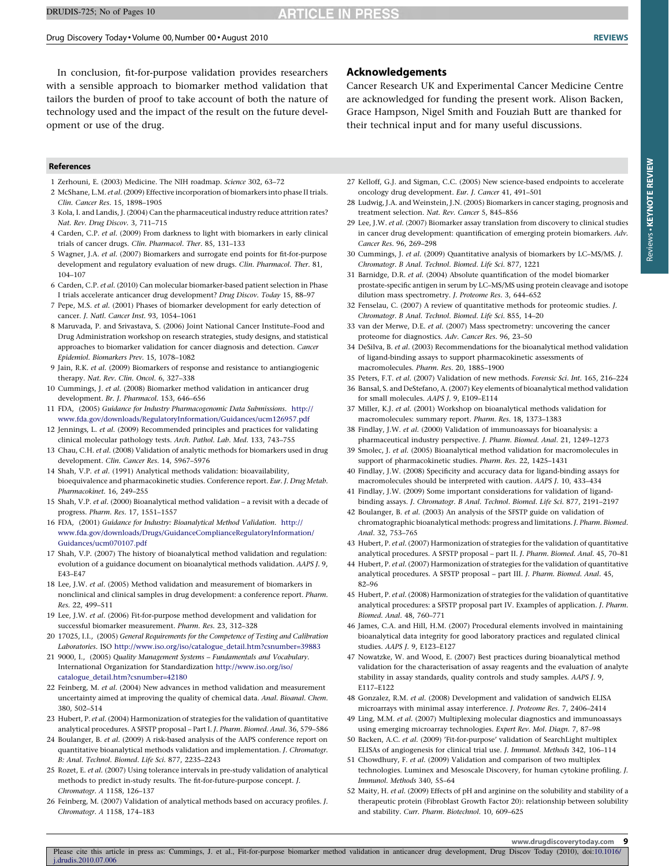<span id="page-8-0"></span>In conclusion, fit-for-purpose validation provides researchers with a sensible approach to biomarker method validation that tailors the burden of proof to take account of both the nature of technology used and the impact of the result on the future development or use of the drug.

# Acknowledgements

Cancer Research UK and Experimental Cancer Medicine Centre are acknowledged for funding the present work. Alison Backen, Grace Hampson, Nigel Smith and Fouziah Butt are thanked for their technical input and for many useful discussions.

#### References

- 1 Zerhouni, E. (2003) Medicine. The NIH roadmap. Science 302, 63–72
- 2 McShane, L.M. et al. (2009) Effective incorporation of biomarkers into phase II trials. Clin. Cancer Res. 15, 1898–1905
- 3 Kola, I. and Landis, J. (2004) Can the pharmaceutical industry reduce attrition rates? Nat. Rev. Drug Discov. 3, 711–715
- 4 Carden, C.P. et al. (2009) From darkness to light with biomarkers in early clinical trials of cancer drugs. Clin. Pharmacol. Ther. 85, 131–133
- 5 Wagner, J.A. et al. (2007) Biomarkers and surrogate end points for fit-for-purpose development and regulatory evaluation of new drugs. Clin. Pharmacol. Ther. 81, 104–107
- 6 Carden, C.P. et al. (2010) Can molecular biomarker-based patient selection in Phase I trials accelerate anticancer drug development? Drug Discov. Today 15, 88–97
- 7 Pepe, M.S. et al. (2001) Phases of biomarker development for early detection of cancer. J. Natl. Cancer Inst. 93, 1054–1061
- 8 Maruvada, P. and Srivastava, S. (2006) Joint National Cancer Institute–Food and Drug Administration workshop on research strategies, study designs, and statistical approaches to biomarker validation for cancer diagnosis and detection. Cancer Epidemiol. Biomarkers Prev. 15, 1078–1082
- 9 Jain, R.K. et al. (2009) Biomarkers of response and resistance to antiangiogenic therapy. Nat. Rev. Clin. Oncol. 6, 327–338
- 10 Cummings, J. et al. (2008) Biomarker method validation in anticancer drug development. Br. J. Pharmacol. 153, 646–656
- 11 FDA, (2005) Guidance for Industry Pharmacogenomic Data Submissions. [http://](http://www.fda.gov/downloads/RegulatoryInformation/Guidances/ucm126957.pdf) [www.fda.gov/downloads/RegulatoryInformation/Guidances/ucm126957.pdf](http://www.fda.gov/downloads/RegulatoryInformation/Guidances/ucm126957.pdf)
- 12 Jennings, L. et al. (2009) Recommended principles and practices for validating clinical molecular pathology tests. Arch. Pathol. Lab. Med. 133, 743–755
- 13 Chau, C.H. et al. (2008) Validation of analytic methods for biomarkers used in drug development. Clin. Cancer Res. 14, 5967–5976
- 14 Shah, V.P. et al. (1991) Analytical methods validation: bioavailability, bioequivalence and pharmacokinetic studies. Conference report. Eur. J. Drug Metab. Pharmacokinet. 16, 249–255
- 15 Shah, V.P. et al. (2000) Bioanalytical method validation a revisit with a decade of progress. Pharm. Res. 17, 1551–1557
- 16 FDA, (2001) Guidance for Industry: Bioanalytical Method Validation. [http://](http://www.fda.gov/downloads/Drugs/GuidanceComplianceRegulatoryInformation/Guidances/ucm070107.pdf) [www.fda.gov/downloads/Drugs/GuidanceComplianceRegulatoryInformation/](http://www.fda.gov/downloads/Drugs/GuidanceComplianceRegulatoryInformation/Guidances/ucm070107.pdf) [Guidances/ucm070107.pdf](http://www.fda.gov/downloads/Drugs/GuidanceComplianceRegulatoryInformation/Guidances/ucm070107.pdf)
- 17 Shah, V.P. (2007) The history of bioanalytical method validation and regulation: evolution of a guidance document on bioanalytical methods validation. AAPS J. 9, E43–E47
- 18 Lee, J.W. et al. (2005) Method validation and measurement of biomarkers in nonclinical and clinical samples in drug development: a conference report. Pharm. Res. 22, 499–511
- 19 Lee, J.W. et al. (2006) Fit-for-purpose method development and validation for successful biomarker measurement. Pharm. Res. 23, 312–328
- 20 17025, I.I., (2005) General Requirements for the Competence of Testing and Calibration Laboratories. ISO [http://www.iso.org/iso/catalogue\\_detail.htm?csnumber=39883](http://www.iso.org/iso/catalogue_detail.htm%3Fcsnumber=39883)
- 21 9000, I., (2005) Quality Management Systems Fundamentals and Vocabulary. International Organization for Standardization [http://www.iso.org/iso/](http://www.iso.org/iso/catalogue_detail.htm%3Fcsnumber=42180) [catalogue\\_detail.htm?csnumber=42180](http://www.iso.org/iso/catalogue_detail.htm%3Fcsnumber=42180)
- 22 Feinberg, M. et al. (2004) New advances in method validation and measurement uncertainty aimed at improving the quality of chemical data. Anal. Bioanal. Chem. 380, 502–514
- 23 Hubert, P. et al. (2004) Harmonization of strategies for the validation of quantitative analytical procedures. A SFSTP proposal – Part I. J. Pharm. Biomed. Anal. 36, 579–586
- 24 Boulanger, B. et al. (2009) A risk-based analysis of the AAPS conference report on quantitative bioanalytical methods validation and implementation. J. Chromatogr. B: Anal. Technol. Biomed. Life Sci. 877, 2235–2243
- 25 Rozet, E. et al. (2007) Using tolerance intervals in pre-study validation of analytical methods to predict in-study results. The fit-for-future-purpose concept. J. Chromatogr. A 1158, 126–137
- 26 Feinberg, M. (2007) Validation of analytical methods based on accuracy profiles. J. Chromatogr. A 1158, 174–183
- 27 Kelloff, G.J. and Sigman, C.C. (2005) New science-based endpoints to accelerate oncology drug development. Eur. J. Cancer 41, 491–501
- 28 Ludwig, J.A. and Weinstein, J.N. (2005) Biomarkers in cancer staging, prognosis and treatment selection. Nat. Rev. Cancer 5, 845–856
- 29 Lee, J.W. et al. (2007) Biomarker assay translation from discovery to clinical studies in cancer drug development: quantification of emerging protein biomarkers. Adv. Cancer Res. 96, 269–298
- 30 Cummings, J. et al. (2009) Quantitative analysis of biomarkers by LC–MS/MS. J. Chromatogr. B Anal. Technol. Biomed. Life Sci. 877, 1221
- 31 Barnidge, D.R. et al. (2004) Absolute quantification of the model biomarker prostate-specific antigen in serum by LC–MS/MS using protein cleavage and isotope dilution mass spectrometry. J. Proteome Res. 3, 644–652
- 32 Fenselau, C. (2007) A review of quantitative methods for proteomic studies. J. Chromatogr. B Anal. Technol. Biomed. Life Sci. 855, 14–20
- 33 van der Merwe, D.E. et al. (2007) Mass spectrometry: uncovering the cancer proteome for diagnostics. Adv. Cancer Res. 96, 23–50
- 34 DeSilva, B. et al. (2003) Recommendations for the bioanalytical method validation of ligand-binding assays to support pharmacokinetic assessments of macromolecules. Pharm. Res. 20, 1885–1900
- 35 Peters, F.T. et al. (2007) Validation of new methods. Forensic Sci. Int. 165, 216–224
- 36 Bansal, S. and DeStefano, A. (2007) Key elements of bioanalytical method validation for small molecules. AAPS I. 9, E109-E114
- 37 Miller, K.J. et al. (2001) Workshop on bioanalytical methods validation for macromolecules: summary report. Pharm. Res. 18, 1373–1383
- 38 Findlay, J.W. et al. (2000) Validation of immunoassays for bioanalysis: a pharmaceutical industry perspective. J. Pharm. Biomed. Anal. 21, 1249–1273
- 39 Smolec, J. et al. (2005) Bioanalytical method validation for macromolecules in support of pharmacokinetic studies. Pharm. Res. 22, 1425–1431
- 40 Findlay, J.W. (2008) Specificity and accuracy data for ligand-binding assays for macromolecules should be interpreted with caution. AAPS J. 10, 433–434
- 41 Findlay, J.W. (2009) Some important considerations for validation of ligandbinding assays. J. Chromatogr. B Anal. Technol. Biomed. Life Sci. 877, 2191–2197
- 42 Boulanger, B. et al. (2003) An analysis of the SFSTP guide on validation of chromatographic bioanalytical methods: progress and limitations. J. Pharm. Biomed. Anal. 32, 753–765
- 43 Hubert, P. et al. (2007) Harmonization of strategies for the validation of quantitative analytical procedures. A SFSTP proposal – part II. J. Pharm. Biomed. Anal. 45, 70–81
- 44 Hubert, P. et al. (2007) Harmonization of strategies for the validation of quantitative analytical procedures. A SFSTP proposal – part III. J. Pharm. Biomed. Anal. 45, 82–96
- 45 Hubert, P. et al. (2008) Harmonization of strategies for the validation of quantitative analytical procedures: a SFSTP proposal part IV. Examples of application. J. Pharm. Biomed. Anal. 48, 760–771
- 46 James, C.A. and Hill, H.M. (2007) Procedural elements involved in maintaining bioanalytical data integrity for good laboratory practices and regulated clinical studies. AAPS J. 9, E123–E127
- 47 Nowatzke, W. and Wood, E. (2007) Best practices during bioanalytical method validation for the characterisation of assay reagents and the evaluation of analyte stability in assay standards, quality controls and study samples. AAPS J. 9, E117–E122
- 48 Gonzalez, R.M. et al. (2008) Development and validation of sandwich ELISA microarrays with minimal assay interference. J. Proteome Res. 7, 2406–2414
- 49 Ling, M.M. et al. (2007) Multiplexing molecular diagnostics and immunoassays using emerging microarray technologies. Expert Rev. Mol. Diagn. 7, 87–98
- 50 Backen, A.C. et al. (2009) 'Fit-for-purpose' validation of SearchLight multiplex ELISAs of angiogenesis for clinical trial use. J. Immunol. Methods 342, 106–114
- 51 Chowdhury, F. et al. (2009) Validation and comparison of two multiplex technologies. Luminex and Mesoscale Discovery, for human cytokine profiling. J. Immunol. Methods 340, 55–64
- 52 Maity, H. et al. (2009) Effects of pH and arginine on the solubility and stability of a therapeutic protein (Fibroblast Growth Factor 20): relationship between solubility and stability. Curr. Pharm. Biotechnol. 10, 609–625

www.drugdiscoverytoday.com 9